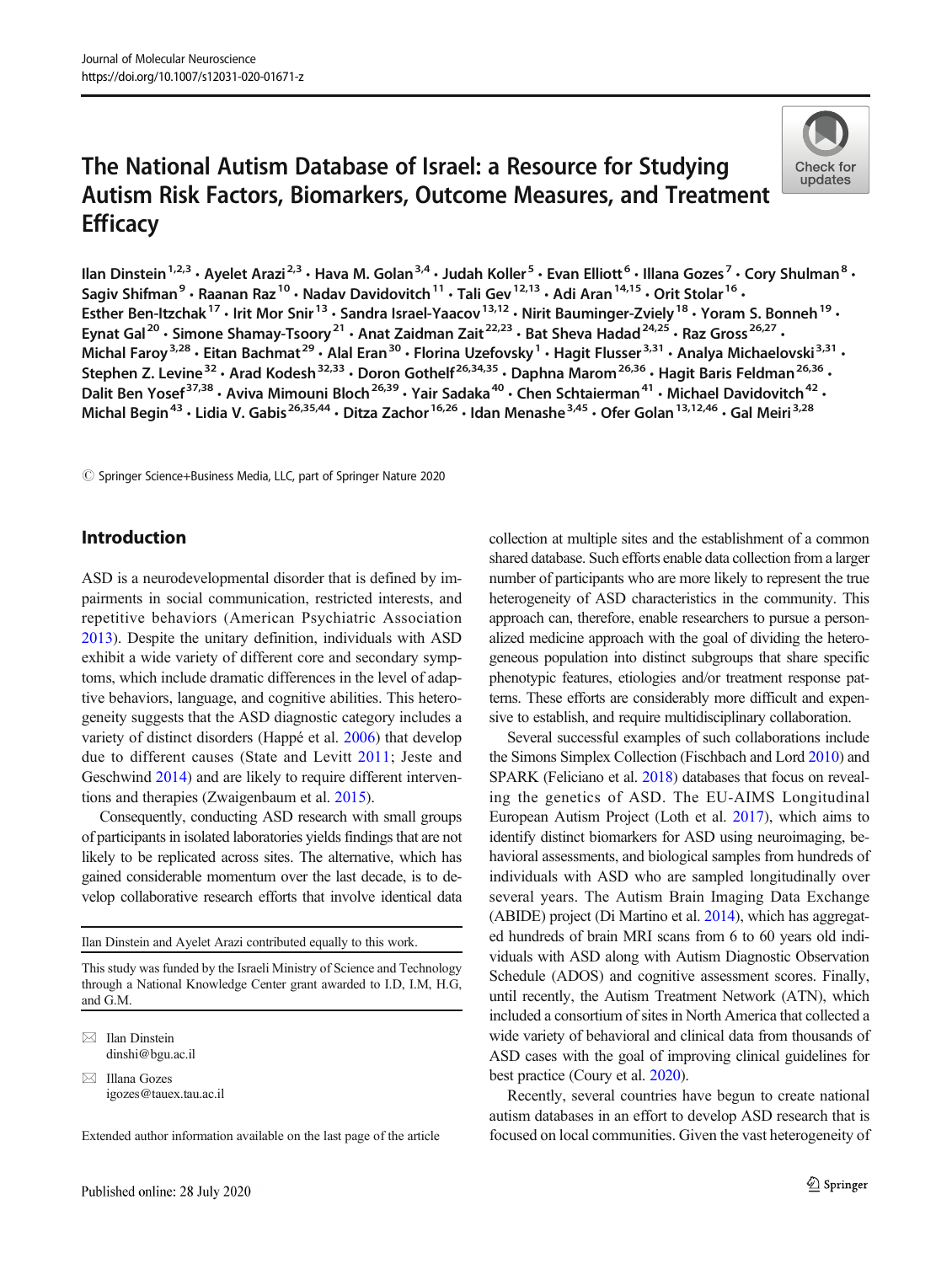# The National Autism Database of Israel: a Resource for Studying Autism Risk Factors, Biomarkers, Outcome Measures, and Treatment **Efficacy**



Ilan Dinstein<sup>1,2,3</sup> • Ayelet Arazi<sup>2,3</sup> • Hava M. Golan<sup>3,4</sup> • Judah Koller<sup>5</sup> • Evan Elliott<sup>6</sup> • Illana Gozes<sup>7</sup> • Cory Shulman<sup>8</sup> • Sagiv Shifman<sup>9</sup> · Raanan Raz<sup>10</sup> · Nadav Davidovitch<sup>11</sup> · Tali Gev<sup>12,13</sup> · Adi Aran<sup>14,15</sup> · Orit Stolar<sup>16</sup> · Esther Ben-Itzchak<sup>17</sup> · Irit Mor Snir<sup>13</sup> · Sandra Israel-Yaacov<sup>13,12</sup> · Nirit Bauminger-Zviely<sup>18</sup> · Yoram S. Bonneh<sup>19</sup> · Eynat Gal<sup>20</sup> • Simone Shamay-Tsoory<sup>21</sup> • Anat Zaidman Zait<sup>22,23</sup> • Bat Sheva Hadad<sup>24,25</sup> • Raz Gross<sup>26,27</sup> • Michal Faroy<sup>3,28</sup> · Eitan Bachmat<sup>29</sup> · Alal Eran<sup>30</sup> · Florina Uzefovsky<sup>1</sup> · Hagit Flusser<sup>3,31</sup> · Analya Michaelovski<sup>3,31</sup> · Stephen Z. Levine<sup>32</sup> · Arad Kodesh<sup>32,33</sup> · Doron Gothelf<sup>26,34,35</sup> · Daphna Marom<sup>26,36</sup> · Hagit Baris Feldman<sup>26,36</sup> · Dalit Ben Yosef<sup>37,38</sup> · Aviva Mimouni Bloch<sup>26,39</sup> · Yair Sadaka<sup>40</sup> · Chen Schtaierman<sup>41</sup> · Michael Davidovitch<sup>42</sup> · Michal Begin<sup>43</sup> • Lidia V. Gabis<sup>26,35,44</sup> • Ditza Zachor<sup>16,26</sup> • Idan Menashe<sup>3,45</sup> • Ofer Golan<sup>13,12,46</sup> • Gal Meiri<sup>3,28</sup>

© Springer Science+Business Media, LLC, part of Springer Nature 2020

## Introduction

ASD is a neurodevelopmental disorder that is defined by impairments in social communication, restricted interests, and repetitive behaviors (American Psychiatric Association [2013\)](#page-7-0). Despite the unitary definition, individuals with ASD exhibit a wide variety of different core and secondary symptoms, which include dramatic differences in the level of adaptive behaviors, language, and cognitive abilities. This heterogeneity suggests that the ASD diagnostic category includes a variety of distinct disorders (Happé et al. [2006\)](#page-7-0) that develop due to different causes (State and Levitt [2011](#page-8-0); Jeste and Geschwind [2014](#page-7-0)) and are likely to require different interventions and therapies (Zwaigenbaum et al. [2015](#page-8-0)).

Consequently, conducting ASD research with small groups of participants in isolated laboratories yields findings that are not likely to be replicated across sites. The alternative, which has gained considerable momentum over the last decade, is to develop collaborative research efforts that involve identical data

Ilan Dinstein and Ayelet Arazi contributed equally to this work.

This study was funded by the Israeli Ministry of Science and Technology through a National Knowledge Center grant awarded to I.D, I.M, H.G, and G.M.

 $\boxtimes$  Ilan Dinstein [dinshi@bgu.ac.il](mailto:dinshi@bgu.ac.il)

 $\boxtimes$  Illana Gozes [igozes@tauex.tau.ac.il](mailto:igozes@tauex.tau.ac.il)

Extended author information available on the last page of the article

collection at multiple sites and the establishment of a common shared database. Such efforts enable data collection from a larger number of participants who are more likely to represent the true heterogeneity of ASD characteristics in the community. This approach can, therefore, enable researchers to pursue a personalized medicine approach with the goal of dividing the heterogeneous population into distinct subgroups that share specific phenotypic features, etiologies and/or treatment response patterns. These efforts are considerably more difficult and expensive to establish, and require multidisciplinary collaboration.

Several successful examples of such collaborations include the Simons Simplex Collection (Fischbach and Lord [2010](#page-7-0)) and SPARK (Feliciano et al. [2018](#page-7-0)) databases that focus on revealing the genetics of ASD. The EU-AIMS Longitudinal European Autism Project (Loth et al. [2017](#page-8-0)), which aims to identify distinct biomarkers for ASD using neuroimaging, behavioral assessments, and biological samples from hundreds of individuals with ASD who are sampled longitudinally over several years. The Autism Brain Imaging Data Exchange (ABIDE) project (Di Martino et al. [2014](#page-7-0)), which has aggregated hundreds of brain MRI scans from 6 to 60 years old individuals with ASD along with Autism Diagnostic Observation Schedule (ADOS) and cognitive assessment scores. Finally, until recently, the Autism Treatment Network (ATN), which included a consortium of sites in North America that collected a wide variety of behavioral and clinical data from thousands of ASD cases with the goal of improving clinical guidelines for best practice (Coury et al. [2020\)](#page-7-0).

Recently, several countries have begun to create national autism databases in an effort to develop ASD research that is focused on local communities. Given the vast heterogeneity of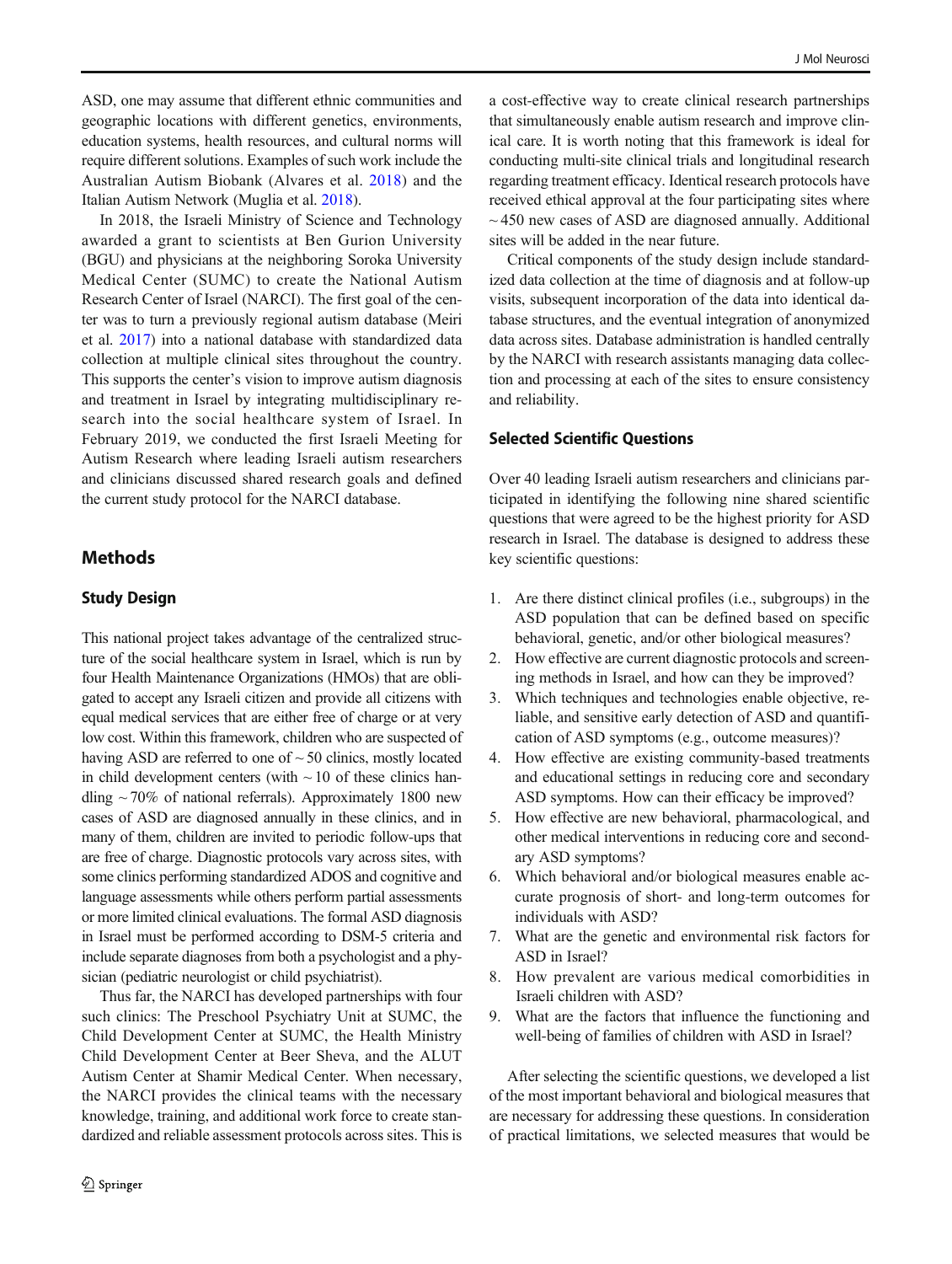ASD, one may assume that different ethnic communities and geographic locations with different genetics, environments, education systems, health resources, and cultural norms will require different solutions. Examples of such work include the Australian Autism Biobank (Alvares et al. [2018](#page-7-0)) and the Italian Autism Network (Muglia et al. [2018\)](#page-8-0).

In 2018, the Israeli Ministry of Science and Technology awarded a grant to scientists at Ben Gurion University (BGU) and physicians at the neighboring Soroka University Medical Center (SUMC) to create the National Autism Research Center of Israel (NARCI). The first goal of the center was to turn a previously regional autism database (Meiri et al. [2017](#page-8-0)) into a national database with standardized data collection at multiple clinical sites throughout the country. This supports the center's vision to improve autism diagnosis and treatment in Israel by integrating multidisciplinary research into the social healthcare system of Israel. In February 2019, we conducted the first Israeli Meeting for Autism Research where leading Israeli autism researchers and clinicians discussed shared research goals and defined the current study protocol for the NARCI database.

# **Methods**

#### Study Design

This national project takes advantage of the centralized structure of the social healthcare system in Israel, which is run by four Health Maintenance Organizations (HMOs) that are obligated to accept any Israeli citizen and provide all citizens with equal medical services that are either free of charge or at very low cost. Within this framework, children who are suspected of having ASD are referred to one of  $\sim$  50 clinics, mostly located in child development centers (with  $\sim$  10 of these clinics handling  $\sim$  70% of national referrals). Approximately 1800 new cases of ASD are diagnosed annually in these clinics, and in many of them, children are invited to periodic follow-ups that are free of charge. Diagnostic protocols vary across sites, with some clinics performing standardized ADOS and cognitive and language assessments while others perform partial assessments or more limited clinical evaluations. The formal ASD diagnosis in Israel must be performed according to DSM-5 criteria and include separate diagnoses from both a psychologist and a physician (pediatric neurologist or child psychiatrist).

Thus far, the NARCI has developed partnerships with four such clinics: The Preschool Psychiatry Unit at SUMC, the Child Development Center at SUMC, the Health Ministry Child Development Center at Beer Sheva, and the ALUT Autism Center at Shamir Medical Center. When necessary, the NARCI provides the clinical teams with the necessary knowledge, training, and additional work force to create standardized and reliable assessment protocols across sites. This is a cost-effective way to create clinical research partnerships that simultaneously enable autism research and improve clinical care. It is worth noting that this framework is ideal for conducting multi-site clinical trials and longitudinal research regarding treatment efficacy. Identical research protocols have received ethical approval at the four participating sites where  $\sim$  450 new cases of ASD are diagnosed annually. Additional sites will be added in the near future.

Critical components of the study design include standardized data collection at the time of diagnosis and at follow-up visits, subsequent incorporation of the data into identical database structures, and the eventual integration of anonymized data across sites. Database administration is handled centrally by the NARCI with research assistants managing data collection and processing at each of the sites to ensure consistency and reliability.

#### Selected Scientific Questions

Over 40 leading Israeli autism researchers and clinicians participated in identifying the following nine shared scientific questions that were agreed to be the highest priority for ASD research in Israel. The database is designed to address these key scientific questions:

- 1. Are there distinct clinical profiles (i.e., subgroups) in the ASD population that can be defined based on specific behavioral, genetic, and/or other biological measures?
- 2. How effective are current diagnostic protocols and screening methods in Israel, and how can they be improved?
- 3. Which techniques and technologies enable objective, reliable, and sensitive early detection of ASD and quantification of ASD symptoms (e.g., outcome measures)?
- 4. How effective are existing community-based treatments and educational settings in reducing core and secondary ASD symptoms. How can their efficacy be improved?
- 5. How effective are new behavioral, pharmacological, and other medical interventions in reducing core and secondary ASD symptoms?
- 6. Which behavioral and/or biological measures enable accurate prognosis of short- and long-term outcomes for individuals with ASD?
- 7. What are the genetic and environmental risk factors for ASD in Israel?
- 8. How prevalent are various medical comorbidities in Israeli children with ASD?
- 9. What are the factors that influence the functioning and well-being of families of children with ASD in Israel?

After selecting the scientific questions, we developed a list of the most important behavioral and biological measures that are necessary for addressing these questions. In consideration of practical limitations, we selected measures that would be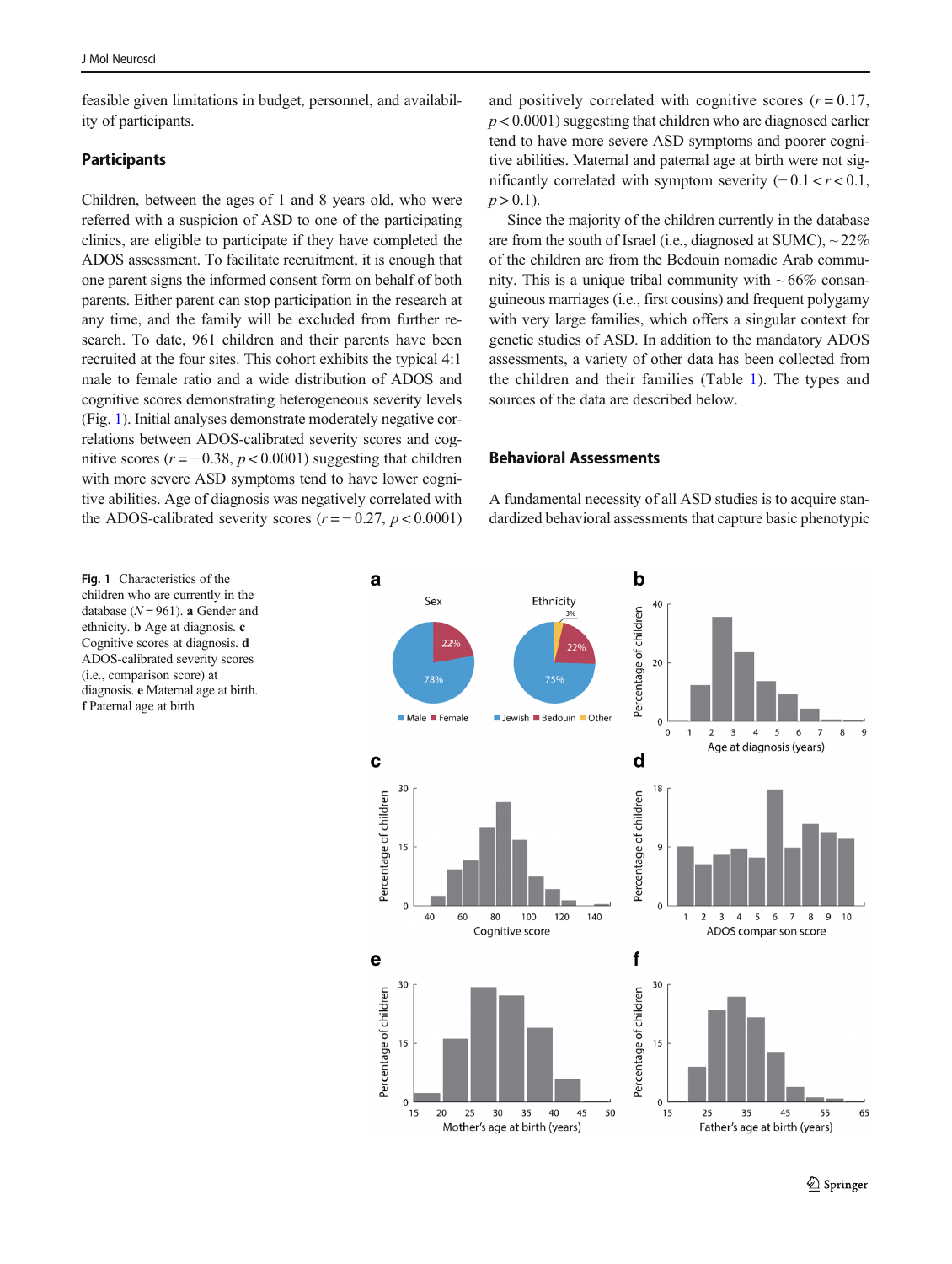feasible given limitations in budget, personnel, and availability of participants.

## **Participants**

Children, between the ages of 1 and 8 years old, who were referred with a suspicion of ASD to one of the participating clinics, are eligible to participate if they have completed the ADOS assessment. To facilitate recruitment, it is enough that one parent signs the informed consent form on behalf of both parents. Either parent can stop participation in the research at any time, and the family will be excluded from further research. To date, 961 children and their parents have been recruited at the four sites. This cohort exhibits the typical 4:1 male to female ratio and a wide distribution of ADOS and cognitive scores demonstrating heterogeneous severity levels (Fig. 1). Initial analyses demonstrate moderately negative correlations between ADOS-calibrated severity scores and cognitive scores ( $r = -0.38$ ,  $p < 0.0001$ ) suggesting that children with more severe ASD symptoms tend to have lower cognitive abilities. Age of diagnosis was negatively correlated with the ADOS-calibrated severity scores  $(r = -0.27, p < 0.0001)$  and positively correlated with cognitive scores  $(r = 0.17$ ,  $p < 0.0001$ ) suggesting that children who are diagnosed earlier tend to have more severe ASD symptoms and poorer cognitive abilities. Maternal and paternal age at birth were not significantly correlated with symptom severity  $(-0.1 < r < 0.1$ ,  $p > 0.1$ ).

Since the majority of the children currently in the database are from the south of Israel (i.e., diagnosed at SUMC),  $\sim$  22% of the children are from the Bedouin nomadic Arab community. This is a unique tribal community with  $\sim 66\%$  consanguineous marriages (i.e., first cousins) and frequent polygamy with very large families, which offers a singular context for genetic studies of ASD. In addition to the mandatory ADOS assessments, a variety of other data has been collected from the children and their families (Table [1](#page-3-0)). The types and sources of the data are described below.

#### Behavioral Assessments

A fundamental necessity of all ASD studies is to acquire standardized behavioral assessments that capture basic phenotypic

Fig. 1 Characteristics of the children who are currently in the database ( $N = 961$ ). a Gender and ethnicity. b Age at diagnosis. c Cognitive scores at diagnosis. d ADOS-calibrated severity scores (i.e., comparison score) at diagnosis. e Maternal age at birth. f Paternal age at birth

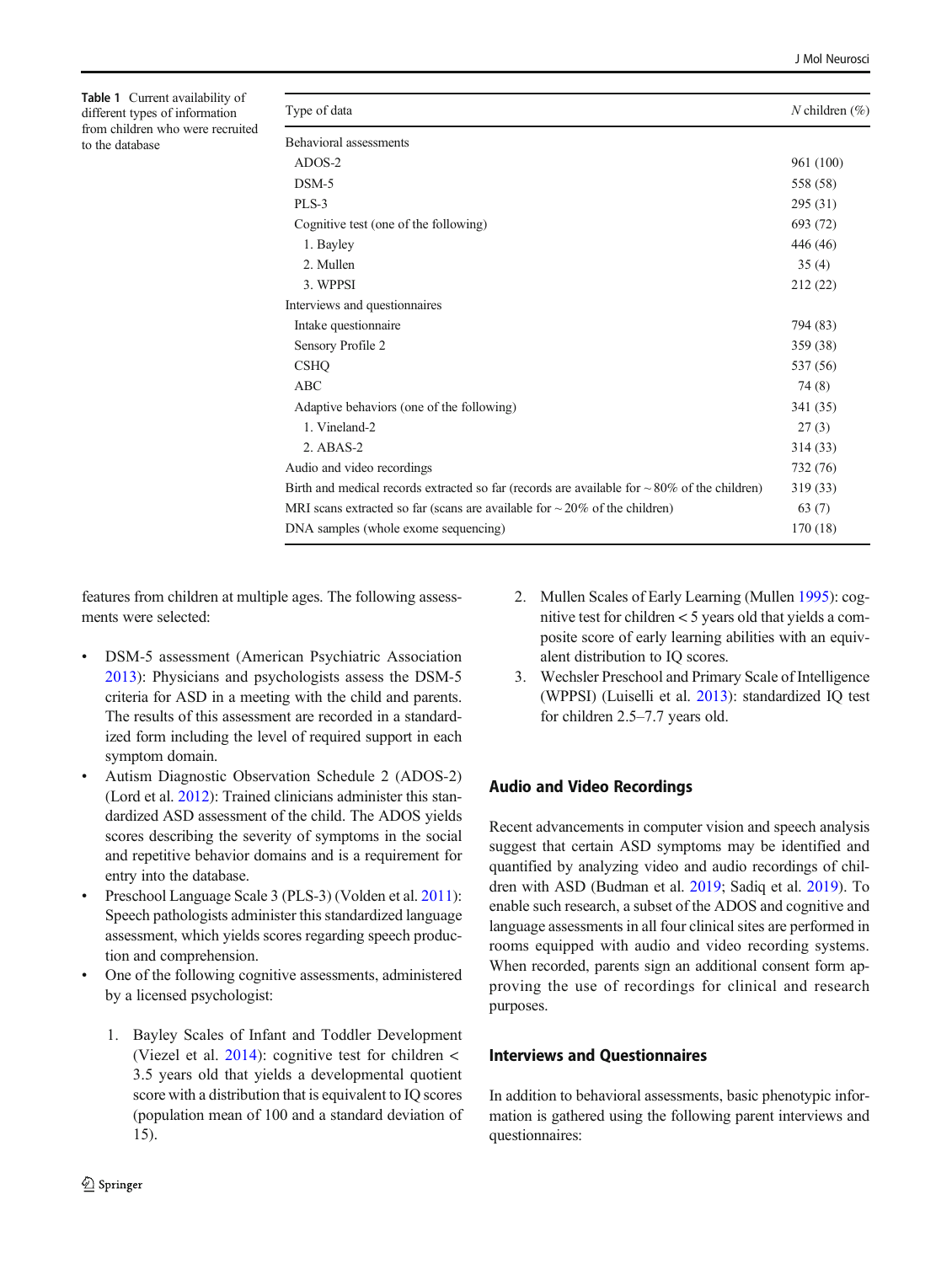<span id="page-3-0"></span>Table 1 Current availability of different types of information from children who were recruited to the database

| Type of data                                                                                       | N children $(\% )$ |
|----------------------------------------------------------------------------------------------------|--------------------|
| <b>Behavioral</b> assessments                                                                      |                    |
| ADOS-2                                                                                             | 961 (100)          |
| $DSM-5$                                                                                            | 558 (58)           |
| PLS-3                                                                                              | 295(31)            |
| Cognitive test (one of the following)                                                              | 693 (72)           |
| 1. Bayley                                                                                          | 446 (46)           |
| 2. Mullen                                                                                          | 35(4)              |
| 3. WPPSI                                                                                           | 212(22)            |
| Interviews and questionnaires                                                                      |                    |
| Intake questionnaire                                                                               | 794 (83)           |
| Sensory Profile 2                                                                                  | 359 (38)           |
| <b>CSHO</b>                                                                                        | 537 (56)           |
| <b>ABC</b>                                                                                         | 74 (8)             |
| Adaptive behaviors (one of the following)                                                          | 341 (35)           |
| 1. Vineland-2                                                                                      | 27(3)              |
| $2.$ ABAS-2                                                                                        | 314 (33)           |
| Audio and video recordings                                                                         | 732 (76)           |
| Birth and medical records extracted so far (records are available for $\sim 80\%$ of the children) | 319 (33)           |
| MRI scans extracted so far (scans are available for $\sim$ 20% of the children)                    | 63(7)              |
| DNA samples (whole exome sequencing)                                                               | 170 (18)           |

features from children at multiple ages. The following assessments were selected:

- & DSM-5 assessment (American Psychiatric Association [2013\)](#page-7-0): Physicians and psychologists assess the DSM-5 criteria for ASD in a meeting with the child and parents. The results of this assessment are recorded in a standardized form including the level of required support in each symptom domain.
- & Autism Diagnostic Observation Schedule 2 (ADOS-2) (Lord et al. [2012](#page-8-0)): Trained clinicians administer this standardized ASD assessment of the child. The ADOS yields scores describing the severity of symptoms in the social and repetitive behavior domains and is a requirement for entry into the database.
- Preschool Language Scale 3 (PLS-3) (Volden et al. [2011](#page-8-0)): Speech pathologists administer this standardized language assessment, which yields scores regarding speech production and comprehension.
- One of the following cognitive assessments, administered by a licensed psychologist:
	- 1. Bayley Scales of Infant and Toddler Development (Viezel et al. [2014](#page-8-0)): cognitive test for children  $\lt$ 3.5 years old that yields a developmental quotient score with a distribution that is equivalent to IQ scores (population mean of 100 and a standard deviation of 15).
- 2. Mullen Scales of Early Learning (Mullen [1995\)](#page-8-0): cognitive test for children < 5 years old that yields a composite score of early learning abilities with an equivalent distribution to IQ scores.
- 3. Wechsler Preschool and Primary Scale of Intelligence (WPPSI) (Luiselli et al. [2013\)](#page-8-0): standardized IQ test for children 2.5–7.7 years old.

# Audio and Video Recordings

Recent advancements in computer vision and speech analysis suggest that certain ASD symptoms may be identified and quantified by analyzing video and audio recordings of children with ASD (Budman et al. [2019](#page-7-0); Sadiq et al. [2019\)](#page-8-0). To enable such research, a subset of the ADOS and cognitive and language assessments in all four clinical sites are performed in rooms equipped with audio and video recording systems. When recorded, parents sign an additional consent form approving the use of recordings for clinical and research purposes.

## Interviews and Questionnaires

In addition to behavioral assessments, basic phenotypic information is gathered using the following parent interviews and questionnaires: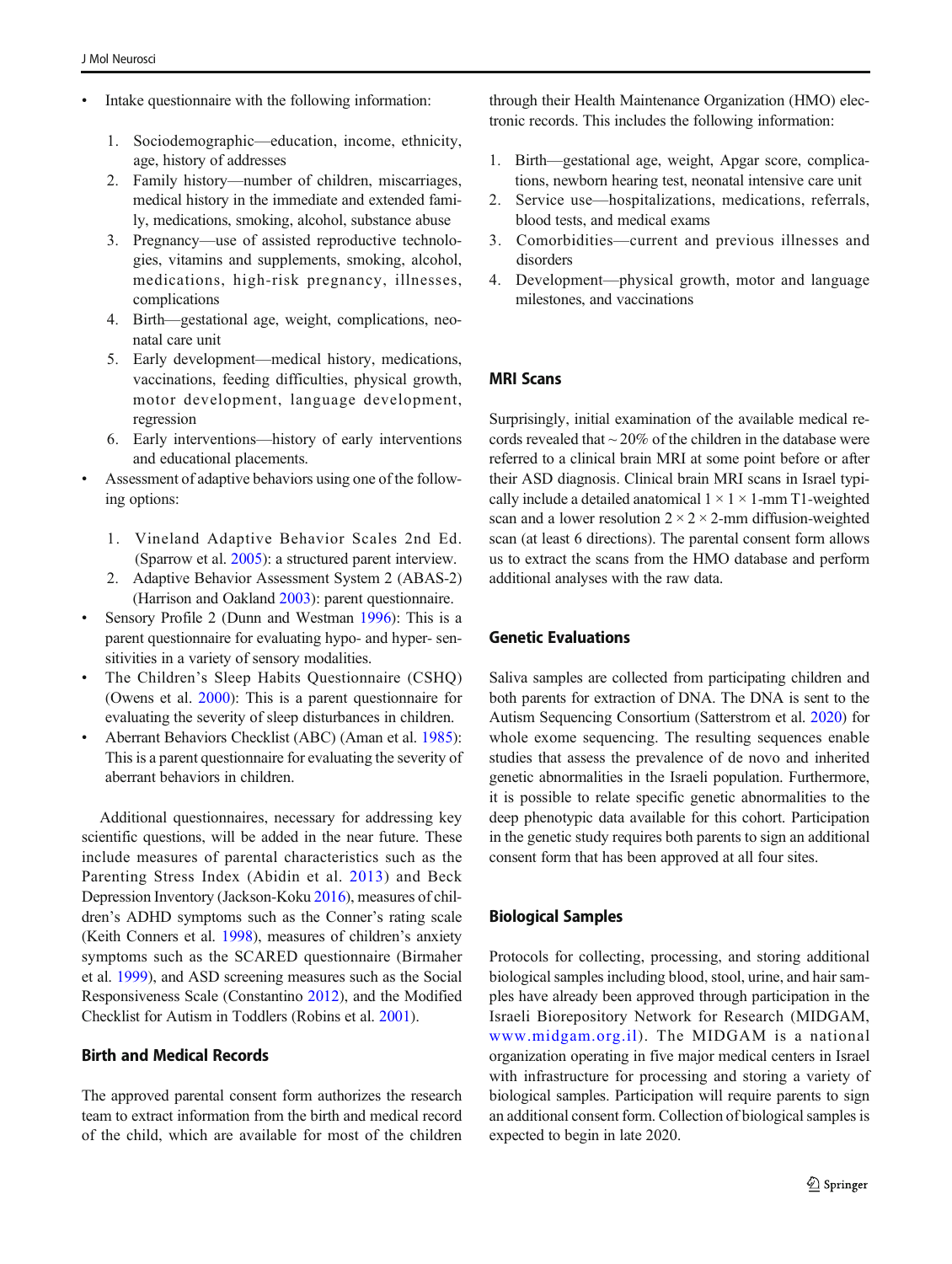- Intake questionnaire with the following information:
	- 1. Sociodemographic—education, income, ethnicity, age, history of addresses
	- 2. Family history—number of children, miscarriages, medical history in the immediate and extended family, medications, smoking, alcohol, substance abuse
	- 3. Pregnancy—use of assisted reproductive technologies, vitamins and supplements, smoking, alcohol, medications, high-risk pregnancy, illnesses, complications
	- 4. Birth—gestational age, weight, complications, neonatal care unit
	- 5. Early development—medical history, medications, vaccinations, feeding difficulties, physical growth, motor development, language development, regression
	- 6. Early interventions—history of early interventions and educational placements.
- & Assessment of adaptive behaviors using one of the following options:
	- 1. Vineland Adaptive Behavior Scales 2nd Ed. (Sparrow et al. [2005](#page-8-0)): a structured parent interview.
	- 2. Adaptive Behavior Assessment System 2 (ABAS-2) (Harrison and Oakland [2003\)](#page-7-0): parent questionnaire.
- & Sensory Profile 2 (Dunn and Westman [1996\)](#page-7-0): This is a parent questionnaire for evaluating hypo- and hyper- sensitivities in a variety of sensory modalities.
- & The Children's Sleep Habits Questionnaire (CSHQ) (Owens et al. [2000\)](#page-8-0): This is a parent questionnaire for evaluating the severity of sleep disturbances in children.
- & Aberrant Behaviors Checklist (ABC) (Aman et al. [1985](#page-7-0)): This is a parent questionnaire for evaluating the severity of aberrant behaviors in children.

Additional questionnaires, necessary for addressing key scientific questions, will be added in the near future. These include measures of parental characteristics such as the Parenting Stress Index (Abidin et al. [2013](#page-7-0)) and Beck Depression Inventory (Jackson-Koku [2016](#page-7-0)), measures of children's ADHD symptoms such as the Conner's rating scale (Keith Conners et al. [1998](#page-8-0)), measures of children's anxiety symptoms such as the SCARED questionnaire (Birmaher et al. [1999](#page-7-0)), and ASD screening measures such as the Social Responsiveness Scale (Constantino [2012](#page-7-0)), and the Modified Checklist for Autism in Toddlers (Robins et al. [2001\)](#page-8-0).

## Birth and Medical Records

The approved parental consent form authorizes the research team to extract information from the birth and medical record of the child, which are available for most of the children

through their Health Maintenance Organization (HMO) electronic records. This includes the following information:

- 1. Birth—gestational age, weight, Apgar score, complications, newborn hearing test, neonatal intensive care unit
- 2. Service use—hospitalizations, medications, referrals, blood tests, and medical exams
- 3. Comorbidities—current and previous illnesses and disorders
- 4. Development—physical growth, motor and language milestones, and vaccinations

#### MRI Scans

Surprisingly, initial examination of the available medical records revealed that  $\sim$  20% of the children in the database were referred to a clinical brain MRI at some point before or after their ASD diagnosis. Clinical brain MRI scans in Israel typically include a detailed anatomical  $1 \times 1 \times 1$ -mm T1-weighted scan and a lower resolution  $2 \times 2 \times 2$ -mm diffusion-weighted scan (at least 6 directions). The parental consent form allows us to extract the scans from the HMO database and perform additional analyses with the raw data.

## Genetic Evaluations

Saliva samples are collected from participating children and both parents for extraction of DNA. The DNA is sent to the Autism Sequencing Consortium (Satterstrom et al. [2020\)](#page-8-0) for whole exome sequencing. The resulting sequences enable studies that assess the prevalence of de novo and inherited genetic abnormalities in the Israeli population. Furthermore, it is possible to relate specific genetic abnormalities to the deep phenotypic data available for this cohort. Participation in the genetic study requires both parents to sign an additional consent form that has been approved at all four sites.

#### Biological Samples

Protocols for collecting, processing, and storing additional biological samples including blood, stool, urine, and hair samples have already been approved through participation in the Israeli Biorepository Network for Research (MIDGAM, [www.midgam.org.il](http://www.midgam.org.il)). The MIDGAM is a national organization operating in five major medical centers in Israel with infrastructure for processing and storing a variety of biological samples. Participation will require parents to sign an additional consent form. Collection of biological samples is expected to begin in late 2020.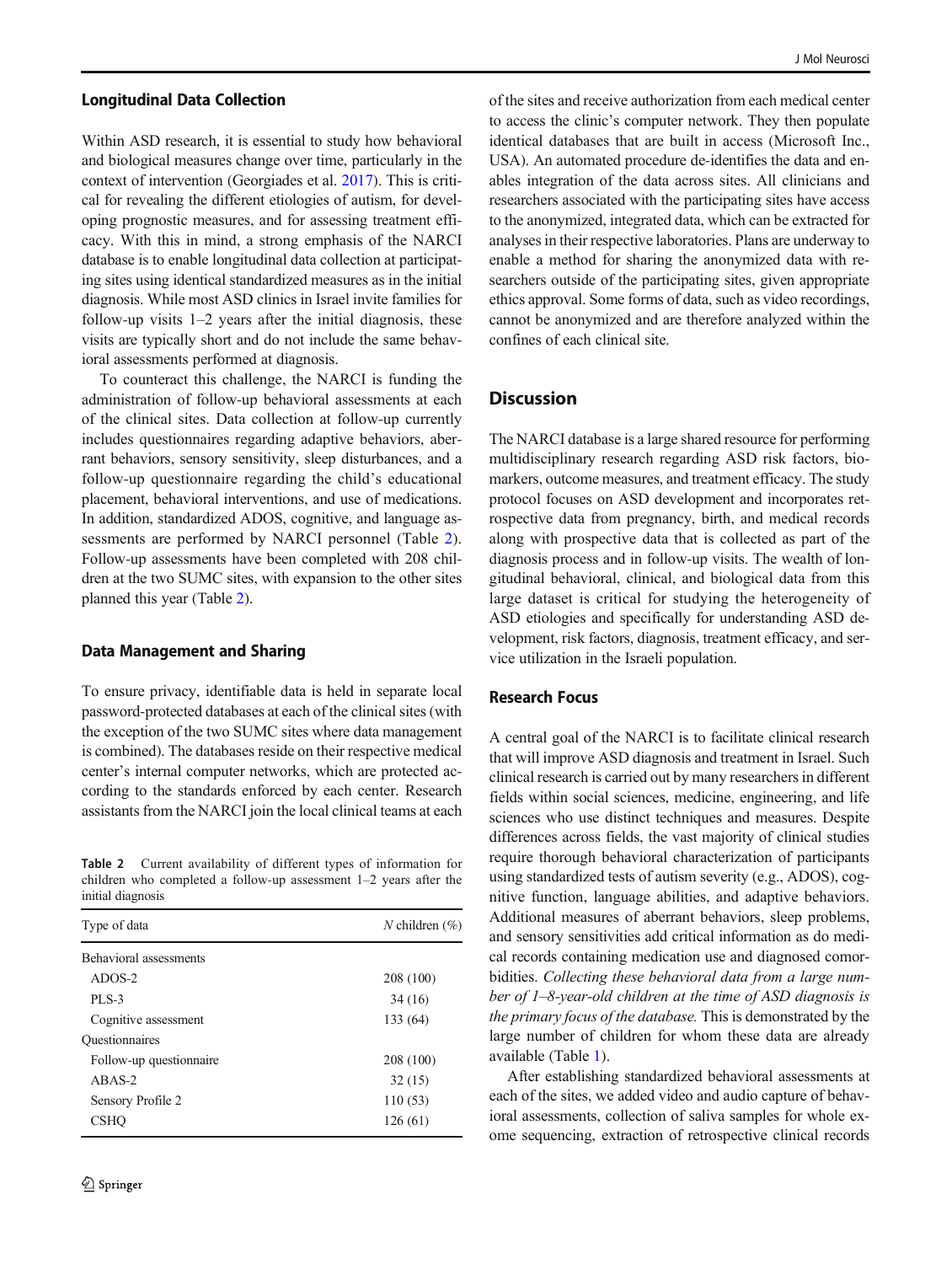#### <span id="page-5-0"></span>Longitudinal Data Collection

Within ASD research, it is essential to study how behavioral and biological measures change over time, particularly in the context of intervention (Georgiades et al. [2017](#page-7-0)). This is critical for revealing the different etiologies of autism, for developing prognostic measures, and for assessing treatment efficacy. With this in mind, a strong emphasis of the NARCI database is to enable longitudinal data collection at participating sites using identical standardized measures as in the initial diagnosis. While most ASD clinics in Israel invite families for follow-up visits  $1-2$  years after the initial diagnosis, these visits are typically short and do not include the same behavioral assessments performed at diagnosis.

To counteract this challenge, the NARCI is funding the administration of follow-up behavioral assessments at each of the clinical sites. Data collection at follow-up currently includes questionnaires regarding adaptive behaviors, aberrant behaviors, sensory sensitivity, sleep disturbances, and a follow-up questionnaire regarding the child's educational placement, behavioral interventions, and use of medications. In addition, standardized ADOS, cognitive, and language assessments are performed by NARCI personnel (Table 2). Follow-up assessments have been completed with 208 children at the two SUMC sites, with expansion to the other sites planned this year (Table 2).

#### Data Management and Sharing

To ensure privacy, identifiable data is held in separate local password-protected databases at each of the clinical sites (with the exception of the two SUMC sites where data management is combined). The databases reside on their respective medical center's internal computer networks, which are protected according to the standards enforced by each center. Research assistants from the NARCI join the local clinical teams at each

Table 2 Current availability of different types of information for children who completed a follow-up assessment 1–2 years after the initial diagnosis

| Type of data            | N children $(\% )$ |
|-------------------------|--------------------|
| Behavioral assessments  |                    |
| $ADOS-2$                | 208 (100)          |
| <b>PLS-3</b>            | 34 (16)            |
| Cognitive assessment    | 133 (64)           |
| <b>Ouestionnaires</b>   |                    |
| Follow-up questionnaire | 208 (100)          |
| $ABAS-2$                | 32(15)             |
| Sensory Profile 2       | 110(53)            |
| <b>CSHO</b>             | 126(61)            |

of the sites and receive authorization from each medical center to access the clinic's computer network. They then populate identical databases that are built in access (Microsoft Inc., USA). An automated procedure de-identifies the data and enables integration of the data across sites. All clinicians and researchers associated with the participating sites have access to the anonymized, integrated data, which can be extracted for analyses in their respective laboratories. Plans are underway to enable a method for sharing the anonymized data with researchers outside of the participating sites, given appropriate ethics approval. Some forms of data, such as video recordings, cannot be anonymized and are therefore analyzed within the confines of each clinical site.

## **Discussion**

The NARCI database is a large shared resource for performing multidisciplinary research regarding ASD risk factors, biomarkers, outcome measures, and treatment efficacy. The study protocol focuses on ASD development and incorporates retrospective data from pregnancy, birth, and medical records along with prospective data that is collected as part of the diagnosis process and in follow-up visits. The wealth of longitudinal behavioral, clinical, and biological data from this large dataset is critical for studying the heterogeneity of ASD etiologies and specifically for understanding ASD development, risk factors, diagnosis, treatment efficacy, and service utilization in the Israeli population.

#### Research Focus

A central goal of the NARCI is to facilitate clinical research that will improve ASD diagnosis and treatment in Israel. Such clinical research is carried out by many researchers in different fields within social sciences, medicine, engineering, and life sciences who use distinct techniques and measures. Despite differences across fields, the vast majority of clinical studies require thorough behavioral characterization of participants using standardized tests of autism severity (e.g., ADOS), cognitive function, language abilities, and adaptive behaviors. Additional measures of aberrant behaviors, sleep problems, and sensory sensitivities add critical information as do medical records containing medication use and diagnosed comorbidities. Collecting these behavioral data from a large number of 1–8-year-old children at the time of ASD diagnosis is the primary focus of the database. This is demonstrated by the large number of children for whom these data are already available (Table [1](#page-3-0)).

After establishing standardized behavioral assessments at each of the sites, we added video and audio capture of behavioral assessments, collection of saliva samples for whole exome sequencing, extraction of retrospective clinical records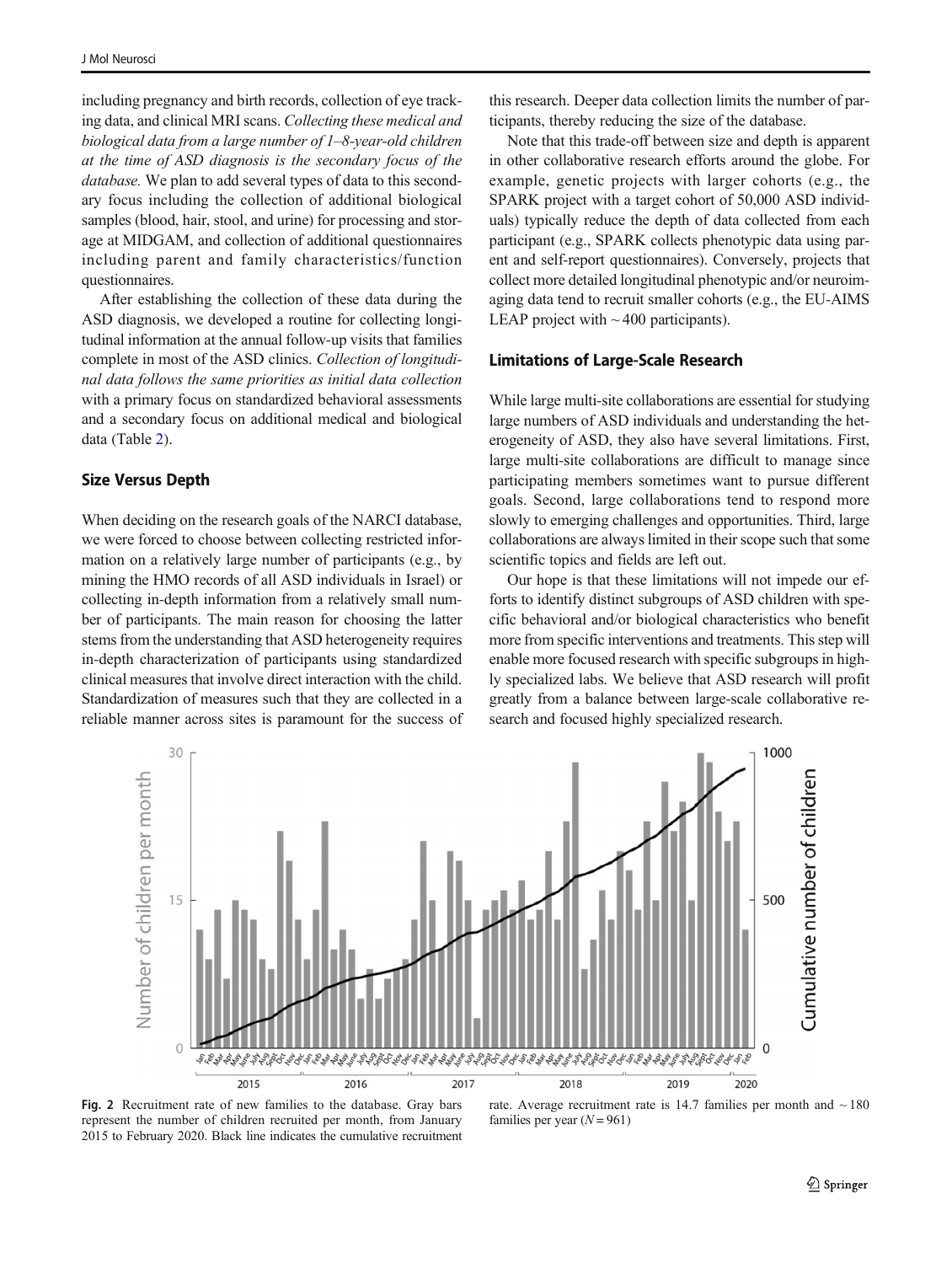<span id="page-6-0"></span>including pregnancy and birth records, collection of eye tracking data, and clinical MRI scans. Collecting these medical and biological data from a large number of 1–8-year-old children at the time of ASD diagnosis is the secondary focus of the database. We plan to add several types of data to this secondary focus including the collection of additional biological samples (blood, hair, stool, and urine) for processing and storage at MIDGAM, and collection of additional questionnaires including parent and family characteristics/function questionnaires.

After establishing the collection of these data during the ASD diagnosis, we developed a routine for collecting longitudinal information at the annual follow-up visits that families complete in most of the ASD clinics. Collection of longitudinal data follows the same priorities as initial data collection with a primary focus on standardized behavioral assessments and a secondary focus on additional medical and biological data (Table [2](#page-5-0)).

#### Size Versus Depth

When deciding on the research goals of the NARCI database, we were forced to choose between collecting restricted information on a relatively large number of participants (e.g., by mining the HMO records of all ASD individuals in Israel) or collecting in-depth information from a relatively small number of participants. The main reason for choosing the latter stems from the understanding that ASD heterogeneity requires in-depth characterization of participants using standardized clinical measures that involve direct interaction with the child. Standardization of measures such that they are collected in a reliable manner across sites is paramount for the success of

this research. Deeper data collection limits the number of participants, thereby reducing the size of the database.

Note that this trade-off between size and depth is apparent in other collaborative research efforts around the globe. For example, genetic projects with larger cohorts (e.g., the SPARK project with a target cohort of 50,000 ASD individuals) typically reduce the depth of data collected from each participant (e.g., SPARK collects phenotypic data using parent and self-report questionnaires). Conversely, projects that collect more detailed longitudinal phenotypic and/or neuroimaging data tend to recruit smaller cohorts (e.g., the EU-AIMS LEAP project with  $\sim$  400 participants).

#### Limitations of Large-Scale Research

While large multi-site collaborations are essential for studying large numbers of ASD individuals and understanding the heterogeneity of ASD, they also have several limitations. First, large multi-site collaborations are difficult to manage since participating members sometimes want to pursue different goals. Second, large collaborations tend to respond more slowly to emerging challenges and opportunities. Third, large collaborations are always limited in their scope such that some scientific topics and fields are left out.

Our hope is that these limitations will not impede our efforts to identify distinct subgroups of ASD children with specific behavioral and/or biological characteristics who benefit more from specific interventions and treatments. This step will enable more focused research with specific subgroups in highly specialized labs. We believe that ASD research will profit greatly from a balance between large-scale collaborative research and focused highly specialized research.



Fig. 2 Recruitment rate of new families to the database. Gray bars represent the number of children recruited per month, from January 2015 to February 2020. Black line indicates the cumulative recruitment

rate. Average recruitment rate is 14.7 families per month and  $\sim$  180 families per year  $(N = 961)$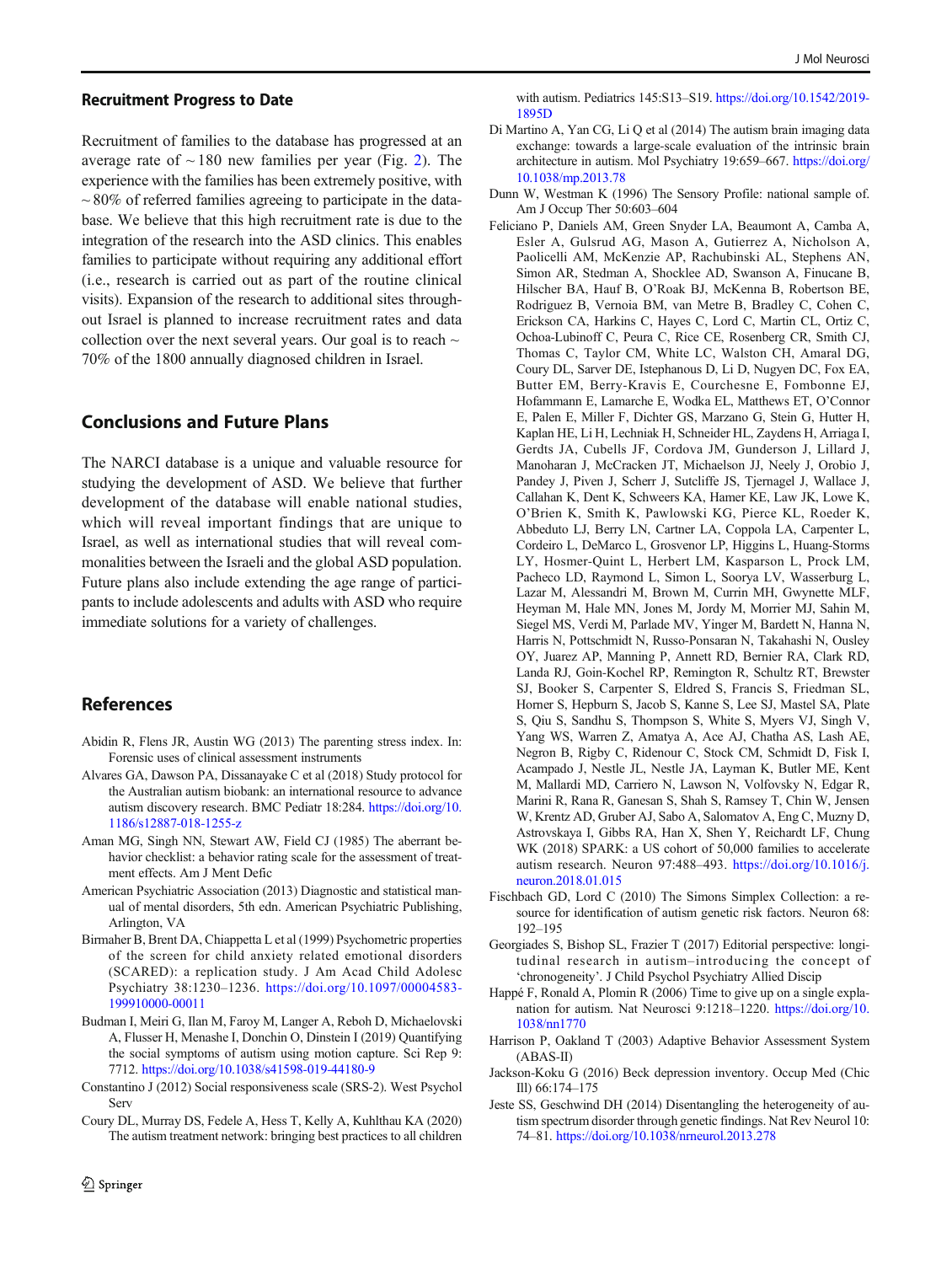#### <span id="page-7-0"></span>Recruitment Progress to Date

Recruitment of families to the database has progressed at an average rate of  $\sim$  180 new families per year (Fig. [2](#page-6-0)). The experience with the families has been extremely positive, with  $\sim$  80% of referred families agreeing to participate in the database. We believe that this high recruitment rate is due to the integration of the research into the ASD clinics. This enables families to participate without requiring any additional effort (i.e., research is carried out as part of the routine clinical visits). Expansion of the research to additional sites throughout Israel is planned to increase recruitment rates and data collection over the next several years. Our goal is to reach  $\sim$ 70% of the 1800 annually diagnosed children in Israel.

## Conclusions and Future Plans

The NARCI database is a unique and valuable resource for studying the development of ASD. We believe that further development of the database will enable national studies, which will reveal important findings that are unique to Israel, as well as international studies that will reveal commonalities between the Israeli and the global ASD population. Future plans also include extending the age range of participants to include adolescents and adults with ASD who require immediate solutions for a variety of challenges.

## References

- Abidin R, Flens JR, Austin WG (2013) The parenting stress index. In: Forensic uses of clinical assessment instruments
- Alvares GA, Dawson PA, Dissanayake C et al (2018) Study protocol for the Australian autism biobank: an international resource to advance autism discovery research. BMC Pediatr 18:284. [https://doi.org/10.](https://doi.org/10.1186/s12887-018-1255-z) [1186/s12887-018-1255-z](https://doi.org/10.1186/s12887-018-1255-z)
- Aman MG, Singh NN, Stewart AW, Field CJ (1985) The aberrant behavior checklist: a behavior rating scale for the assessment of treatment effects. Am J Ment Defic
- American Psychiatric Association (2013) Diagnostic and statistical manual of mental disorders, 5th edn. American Psychiatric Publishing, Arlington, VA
- Birmaher B, Brent DA, Chiappetta L et al (1999) Psychometric properties of the screen for child anxiety related emotional disorders (SCARED): a replication study. J Am Acad Child Adolesc Psychiatry 38:1230–1236. [https://doi.org/10.1097/00004583-](https://doi.org/10.1097/00004583-199910000-00011) [199910000-00011](https://doi.org/10.1097/00004583-199910000-00011)
- Budman I, Meiri G, Ilan M, Faroy M, Langer A, Reboh D, Michaelovski A, Flusser H, Menashe I, Donchin O, Dinstein I (2019) Quantifying the social symptoms of autism using motion capture. Sci Rep 9: 7712. <https://doi.org/10.1038/s41598-019-44180-9>
- Constantino J (2012) Social responsiveness scale (SRS-2). West Psychol **Serv**
- Coury DL, Murray DS, Fedele A, Hess T, Kelly A, Kuhlthau KA (2020) The autism treatment network: bringing best practices to all children

with autism. Pediatrics 145:S13–S19. [https://doi.org/10.1542/2019-](https://doi.org/10.1542/2019-1895D) [1895D](https://doi.org/10.1542/2019-1895D)

- Di Martino A, Yan CG, Li Q et al (2014) The autism brain imaging data exchange: towards a large-scale evaluation of the intrinsic brain architecture in autism. Mol Psychiatry 19:659–667. [https://doi.org/](https://doi.org/10.1038/mp.2013.78) [10.1038/mp.2013.78](https://doi.org/10.1038/mp.2013.78)
- Dunn W, Westman K (1996) The Sensory Profile: national sample of. Am J Occup Ther 50:603–604
- Feliciano P, Daniels AM, Green Snyder LA, Beaumont A, Camba A, Esler A, Gulsrud AG, Mason A, Gutierrez A, Nicholson A, Paolicelli AM, McKenzie AP, Rachubinski AL, Stephens AN, Simon AR, Stedman A, Shocklee AD, Swanson A, Finucane B, Hilscher BA, Hauf B, O'Roak BJ, McKenna B, Robertson BE, Rodriguez B, Vernoia BM, van Metre B, Bradley C, Cohen C, Erickson CA, Harkins C, Hayes C, Lord C, Martin CL, Ortiz C, Ochoa-Lubinoff C, Peura C, Rice CE, Rosenberg CR, Smith CJ, Thomas C, Taylor CM, White LC, Walston CH, Amaral DG, Coury DL, Sarver DE, Istephanous D, Li D, Nugyen DC, Fox EA, Butter EM, Berry-Kravis E, Courchesne E, Fombonne EJ, Hofammann E, Lamarche E, Wodka EL, Matthews ET, O'Connor E, Palen E, Miller F, Dichter GS, Marzano G, Stein G, Hutter H, Kaplan HE, Li H, Lechniak H, Schneider HL, Zaydens H, Arriaga I, Gerdts JA, Cubells JF, Cordova JM, Gunderson J, Lillard J, Manoharan J, McCracken JT, Michaelson JJ, Neely J, Orobio J, Pandey J, Piven J, Scherr J, Sutcliffe JS, Tjernagel J, Wallace J, Callahan K, Dent K, Schweers KA, Hamer KE, Law JK, Lowe K, O'Brien K, Smith K, Pawlowski KG, Pierce KL, Roeder K, Abbeduto LJ, Berry LN, Cartner LA, Coppola LA, Carpenter L, Cordeiro L, DeMarco L, Grosvenor LP, Higgins L, Huang-Storms LY, Hosmer-Quint L, Herbert LM, Kasparson L, Prock LM, Pacheco LD, Raymond L, Simon L, Soorya LV, Wasserburg L, Lazar M, Alessandri M, Brown M, Currin MH, Gwynette MLF, Heyman M, Hale MN, Jones M, Jordy M, Morrier MJ, Sahin M, Siegel MS, Verdi M, Parlade MV, Yinger M, Bardett N, Hanna N, Harris N, Pottschmidt N, Russo-Ponsaran N, Takahashi N, Ousley OY, Juarez AP, Manning P, Annett RD, Bernier RA, Clark RD, Landa RJ, Goin-Kochel RP, Remington R, Schultz RT, Brewster SJ, Booker S, Carpenter S, Eldred S, Francis S, Friedman SL, Horner S, Hepburn S, Jacob S, Kanne S, Lee SJ, Mastel SA, Plate S, Qiu S, Sandhu S, Thompson S, White S, Myers VJ, Singh V, Yang WS, Warren Z, Amatya A, Ace AJ, Chatha AS, Lash AE, Negron B, Rigby C, Ridenour C, Stock CM, Schmidt D, Fisk I, Acampado J, Nestle JL, Nestle JA, Layman K, Butler ME, Kent M, Mallardi MD, Carriero N, Lawson N, Volfovsky N, Edgar R, Marini R, Rana R, Ganesan S, Shah S, Ramsey T, Chin W, Jensen W, Krentz AD, Gruber AJ, Sabo A, Salomatov A, Eng C, Muzny D, Astrovskaya I, Gibbs RA, Han X, Shen Y, Reichardt LF, Chung WK (2018) SPARK: a US cohort of 50,000 families to accelerate autism research. Neuron 97:488–493. [https://doi.org/10.1016/j.](https://doi.org/10.1016/j.neuron.2018.01.015) [neuron.2018.01.015](https://doi.org/10.1016/j.neuron.2018.01.015)
- Fischbach GD, Lord C (2010) The Simons Simplex Collection: a resource for identification of autism genetic risk factors. Neuron 68: 192–195
- Georgiades S, Bishop SL, Frazier T (2017) Editorial perspective: longitudinal research in autism–introducing the concept of 'chronogeneity'. J Child Psychol Psychiatry Allied Discip
- Happé F, Ronald A, Plomin R (2006) Time to give up on a single explanation for autism. Nat Neurosci 9:1218–1220. [https://doi.org/10.](https://doi.org/10.1038/nn1770) [1038/nn1770](https://doi.org/10.1038/nn1770)
- Harrison P, Oakland T (2003) Adaptive Behavior Assessment System (ABAS-II)
- Jackson-Koku G (2016) Beck depression inventory. Occup Med (Chic Ill) 66:174–175
- Jeste SS, Geschwind DH (2014) Disentangling the heterogeneity of autism spectrum disorder through genetic findings. Nat Rev Neurol 10: 74–81. <https://doi.org/10.1038/nrneurol.2013.278>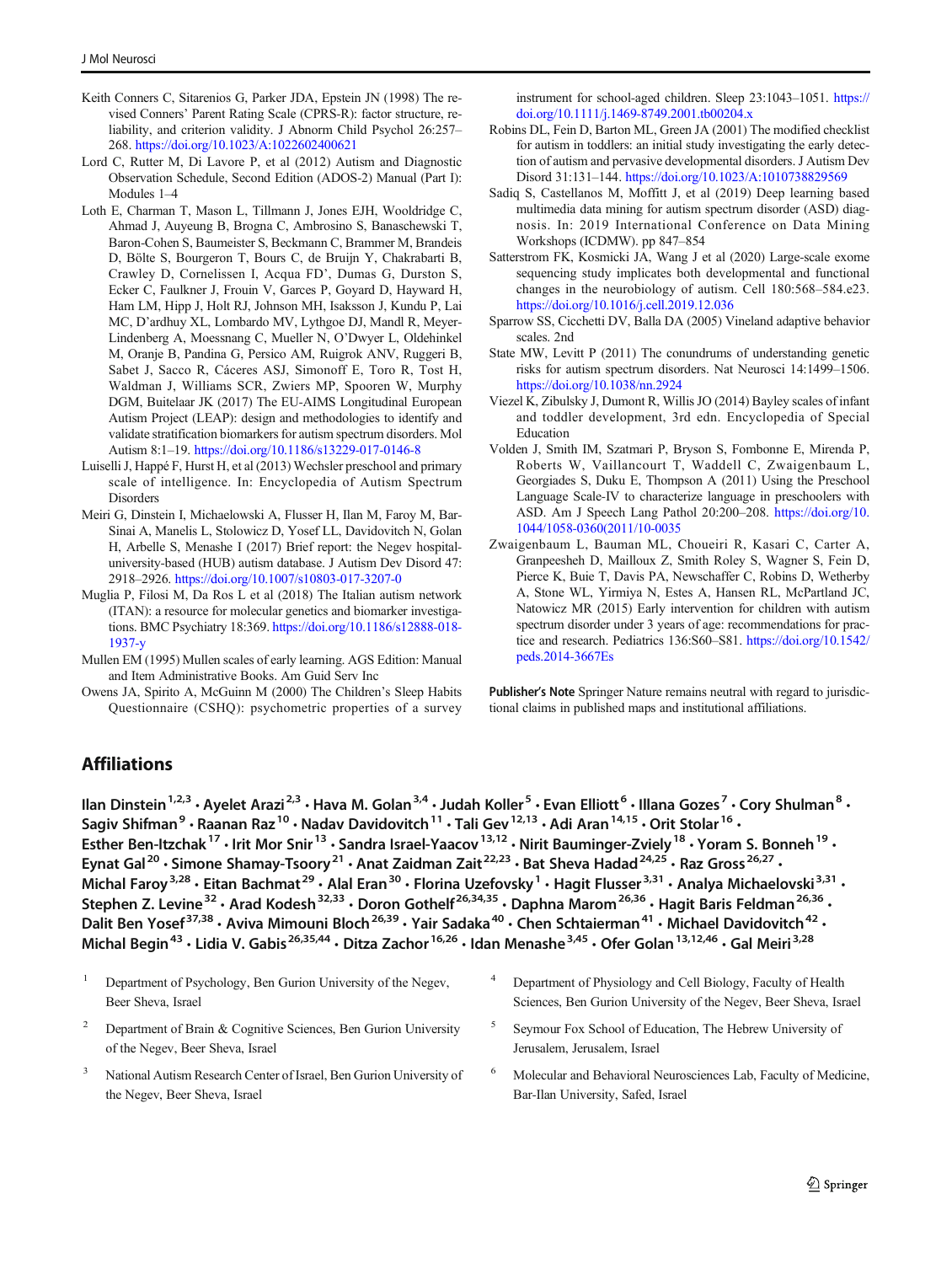- <span id="page-8-0"></span>Keith Conners C, Sitarenios G, Parker JDA, Epstein JN (1998) The revised Conners' Parent Rating Scale (CPRS-R): factor structure, reliability, and criterion validity. J Abnorm Child Psychol 26:257– 268. <https://doi.org/10.1023/A:1022602400621>
- Lord C, Rutter M, Di Lavore P, et al (2012) Autism and Diagnostic Observation Schedule, Second Edition (ADOS-2) Manual (Part I): Modules 1–4
- Loth E, Charman T, Mason L, Tillmann J, Jones EJH, Wooldridge C, Ahmad J, Auyeung B, Brogna C, Ambrosino S, Banaschewski T, Baron-Cohen S, Baumeister S, Beckmann C, Brammer M, Brandeis D, Bölte S, Bourgeron T, Bours C, de Bruijn Y, Chakrabarti B, Crawley D, Cornelissen I, Acqua FD', Dumas G, Durston S, Ecker C, Faulkner J, Frouin V, Garces P, Goyard D, Hayward H, Ham LM, Hipp J, Holt RJ, Johnson MH, Isaksson J, Kundu P, Lai MC, D'ardhuy XL, Lombardo MV, Lythgoe DJ, Mandl R, Meyer-Lindenberg A, Moessnang C, Mueller N, O'Dwyer L, Oldehinkel M, Oranje B, Pandina G, Persico AM, Ruigrok ANV, Ruggeri B, Sabet J, Sacco R, Cáceres ASJ, Simonoff E, Toro R, Tost H, Waldman J, Williams SCR, Zwiers MP, Spooren W, Murphy DGM, Buitelaar JK (2017) The EU-AIMS Longitudinal European Autism Project (LEAP): design and methodologies to identify and validate stratification biomarkers for autism spectrum disorders. Mol Autism 8:1–19. <https://doi.org/10.1186/s13229-017-0146-8>
- Luiselli J, Happé F, Hurst H, et al (2013) Wechsler preschool and primary scale of intelligence. In: Encyclopedia of Autism Spectrum **Disorders**
- Meiri G, Dinstein I, Michaelowski A, Flusser H, Ilan M, Faroy M, Bar-Sinai A, Manelis L, Stolowicz D, Yosef LL, Davidovitch N, Golan H, Arbelle S, Menashe I (2017) Brief report: the Negev hospitaluniversity-based (HUB) autism database. J Autism Dev Disord 47: 2918–2926. <https://doi.org/10.1007/s10803-017-3207-0>
- Muglia P, Filosi M, Da Ros L et al (2018) The Italian autism network (ITAN): a resource for molecular genetics and biomarker investigations. BMC Psychiatry 18:369. [https://doi.org/10.1186/s12888-018-](https://doi.org/10.1186/s12888-018-1937-y) [1937-y](https://doi.org/10.1186/s12888-018-1937-y)
- Mullen EM (1995) Mullen scales of early learning. AGS Edition: Manual and Item Administrative Books. Am Guid Serv Inc
- Owens JA, Spirito A, McGuinn M (2000) The Children's Sleep Habits Questionnaire (CSHQ): psychometric properties of a survey

instrument for school-aged children. Sleep 23:1043–1051. [https://](https://doi.org/10.1111/j.1469-8749.2001.tb00204.x) [doi.org/10.1111/j.1469-8749.2001.tb00204.x](https://doi.org/10.1111/j.1469-8749.2001.tb00204.x)

- Robins DL, Fein D, Barton ML, Green JA (2001) The modified checklist for autism in toddlers: an initial study investigating the early detection of autism and pervasive developmental disorders. J Autism Dev Disord 31:131–144. <https://doi.org/10.1023/A:1010738829569>
- Sadiq S, Castellanos M, Moffitt J, et al (2019) Deep learning based multimedia data mining for autism spectrum disorder (ASD) diagnosis. In: 2019 International Conference on Data Mining Workshops (ICDMW). pp 847–854
- Satterstrom FK, Kosmicki JA, Wang J et al (2020) Large-scale exome sequencing study implicates both developmental and functional changes in the neurobiology of autism. Cell 180:568–584.e23. <https://doi.org/10.1016/j.cell.2019.12.036>
- Sparrow SS, Cicchetti DV, Balla DA (2005) Vineland adaptive behavior scales. 2nd
- State MW, Levitt P (2011) The conundrums of understanding genetic risks for autism spectrum disorders. Nat Neurosci 14:1499–1506. <https://doi.org/10.1038/nn.2924>
- Viezel K, Zibulsky J, Dumont R, Willis JO (2014) Bayley scales of infant and toddler development, 3rd edn. Encyclopedia of Special Education
- Volden J, Smith IM, Szatmari P, Bryson S, Fombonne E, Mirenda P, Roberts W, Vaillancourt T, Waddell C, Zwaigenbaum L, Georgiades S, Duku E, Thompson A (2011) Using the Preschool Language Scale-IV to characterize language in preschoolers with ASD. Am J Speech Lang Pathol 20:200–208. [https://doi.org/10.](https://doi.org/10.1044/1058-0360(2011/�10-0035) [1044/1058-0360\(2011/10-0035](https://doi.org/10.1044/1058-0360(2011/�10-0035)
- Zwaigenbaum L, Bauman ML, Choueiri R, Kasari C, Carter A, Granpeesheh D, Mailloux Z, Smith Roley S, Wagner S, Fein D, Pierce K, Buie T, Davis PA, Newschaffer C, Robins D, Wetherby A, Stone WL, Yirmiya N, Estes A, Hansen RL, McPartland JC, Natowicz MR (2015) Early intervention for children with autism spectrum disorder under 3 years of age: recommendations for practice and research. Pediatrics 136:S60–S81. [https://doi.org/10.1542/](https://doi.org/10.1542/peds.2014-3667Es) [peds.2014-3667Es](https://doi.org/10.1542/peds.2014-3667Es)

Publisher's Note Springer Nature remains neutral with regard to jurisdictional claims in published maps and institutional affiliations.

# **Affiliations**

Ilan Dinstein<sup>1,2,3</sup> • Ayelet Arazi<sup>2,3</sup> • Hava M. Golan<sup>3,4</sup> • Judah Koller<sup>5</sup> • Evan Elliott<sup>6</sup> • Illana Gozes<sup>7</sup> • Cory Shulman<sup>8</sup> • Sagiv Shifman<sup>9</sup> • Raanan Raz<sup>10</sup> • Nadav Davidovitch<sup>11</sup> • Tali Gev<sup>12,13</sup> • Adi Aran<sup>14,15</sup> • Orit Stolar<sup>16</sup> • Esther Ben-Itzchak<sup>17</sup> · Irit Mor Snir<sup>13</sup> · Sandra Israel-Yaacov<sup>13,12</sup> · Nirit Bauminger-Zviely<sup>18</sup> · Yoram S. Bonneh<sup>19</sup> · Eynat Gal<sup>20</sup> · Simone Shamay-Tsoory<sup>21</sup> · Anat Zaidman Zait<sup>22,23</sup> · Bat Sheva Hadad<sup>24,25</sup> · Raz Gross<sup>26,27</sup> · Michal Faroy<sup>3,28</sup> · Eitan Bachmat<sup>29</sup> · Alal Eran<sup>30</sup> · Florina Uzefovsky<sup>1</sup> · Hagit Flusser<sup>3,31</sup> · Analya Michaelovski<sup>3,31</sup> · Stephen Z. Levine<sup>32</sup> · Arad Kodesh<sup>32,33</sup> · Doron Gothelf<sup>26,34,35</sup> · Daphna Marom<sup>26,36</sup> · Hagit Baris Feldman<sup>26,36</sup> · Dalit Ben Yosef<sup>37,38</sup> · Aviva Mimouni Bloch<sup>26,39</sup> · Yair Sadaka<sup>40</sup> · Chen Schtaierman<sup>41</sup> · Michael Davidovitch<sup>42</sup> · Michal Begin<sup>43</sup> • Lidia V. Gabis<sup>26,35,44</sup> • Ditza Zachor<sup>16,26</sup> • Idan Menashe<sup>3,45</sup> • Ofer Golan<sup>13,12,46</sup> • Gal Meiri<sup>3,28</sup>

- <sup>1</sup> Department of Psychology, Ben Gurion University of the Negev, Beer Sheva, Israel
- <sup>2</sup> Department of Brain & Cognitive Sciences, Ben Gurion University of the Negev, Beer Sheva, Israel
- <sup>3</sup> National Autism Research Center of Israel, Ben Gurion University of the Negev, Beer Sheva, Israel
- <sup>4</sup> Department of Physiology and Cell Biology, Faculty of Health Sciences, Ben Gurion University of the Negev, Beer Sheva, Israel
- <sup>5</sup> Seymour Fox School of Education, The Hebrew University of Jerusalem, Jerusalem, Israel
- <sup>6</sup> Molecular and Behavioral Neurosciences Lab, Faculty of Medicine, Bar-Ilan University, Safed, Israel